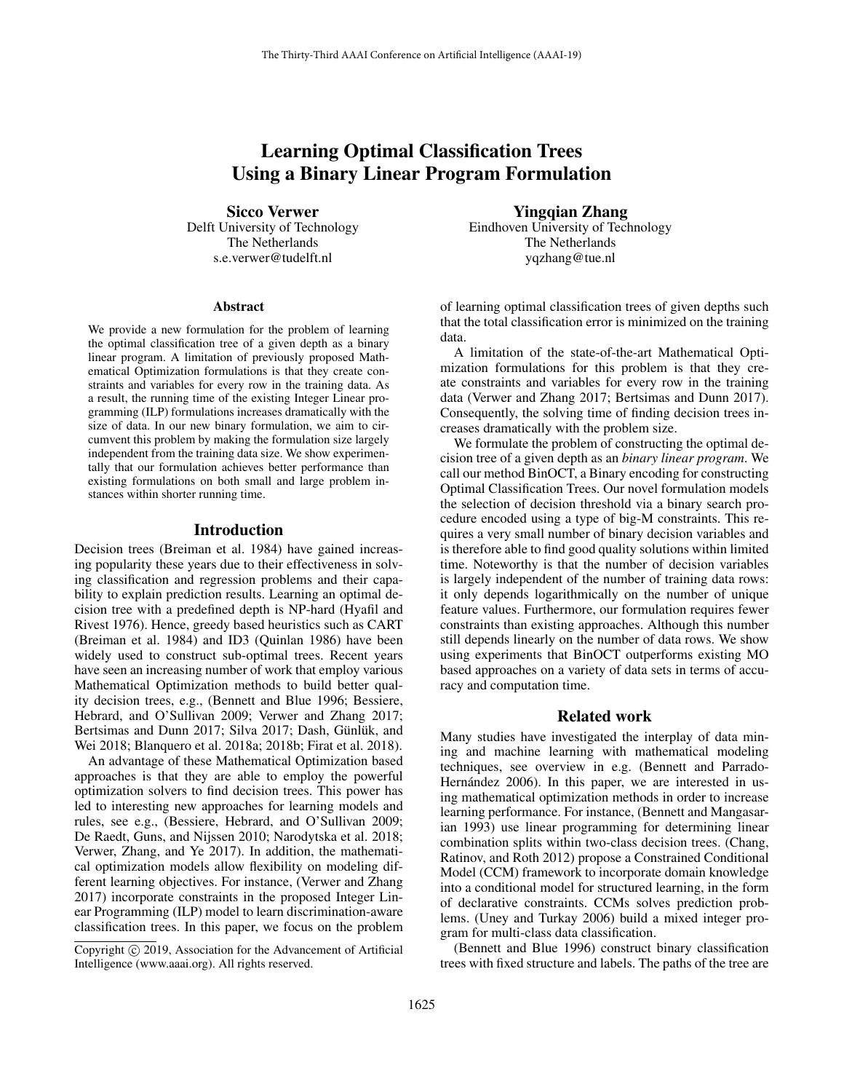# Learning Optimal Classification Trees Using a Binary Linear Program Formulation

Sicco Verwer Delft University of Technology The Netherlands s.e.verwer@tudelft.nl

#### **Abstract**

We provide a new formulation for the problem of learning the optimal classification tree of a given depth as a binary linear program. A limitation of previously proposed Mathematical Optimization formulations is that they create constraints and variables for every row in the training data. As a result, the running time of the existing Integer Linear programming (ILP) formulations increases dramatically with the size of data. In our new binary formulation, we aim to circumvent this problem by making the formulation size largely independent from the training data size. We show experimentally that our formulation achieves better performance than existing formulations on both small and large problem instances within shorter running time.

#### Introduction

Decision trees (Breiman et al. 1984) have gained increasing popularity these years due to their effectiveness in solving classification and regression problems and their capability to explain prediction results. Learning an optimal decision tree with a predefined depth is NP-hard (Hyafil and Rivest 1976). Hence, greedy based heuristics such as CART (Breiman et al. 1984) and ID3 (Quinlan 1986) have been widely used to construct sub-optimal trees. Recent years have seen an increasing number of work that employ various Mathematical Optimization methods to build better quality decision trees, e.g., (Bennett and Blue 1996; Bessiere, Hebrard, and O'Sullivan 2009; Verwer and Zhang 2017; Bertsimas and Dunn 2017; Silva 2017; Dash, Günlük, and Wei 2018; Blanquero et al. 2018a; 2018b; Firat et al. 2018).

An advantage of these Mathematical Optimization based approaches is that they are able to employ the powerful optimization solvers to find decision trees. This power has led to interesting new approaches for learning models and rules, see e.g., (Bessiere, Hebrard, and O'Sullivan 2009; De Raedt, Guns, and Nijssen 2010; Narodytska et al. 2018; Verwer, Zhang, and Ye 2017). In addition, the mathematical optimization models allow flexibility on modeling different learning objectives. For instance, (Verwer and Zhang 2017) incorporate constraints in the proposed Integer Linear Programming (ILP) model to learn discrimination-aware classification trees. In this paper, we focus on the problem

Yingqian Zhang Eindhoven University of Technology The Netherlands yqzhang@tue.nl

of learning optimal classification trees of given depths such that the total classification error is minimized on the training data.

A limitation of the state-of-the-art Mathematical Optimization formulations for this problem is that they create constraints and variables for every row in the training data (Verwer and Zhang 2017; Bertsimas and Dunn 2017). Consequently, the solving time of finding decision trees increases dramatically with the problem size.

We formulate the problem of constructing the optimal decision tree of a given depth as an *binary linear program*. We call our method BinOCT, a Binary encoding for constructing Optimal Classification Trees. Our novel formulation models the selection of decision threshold via a binary search procedure encoded using a type of big-M constraints. This requires a very small number of binary decision variables and is therefore able to find good quality solutions within limited time. Noteworthy is that the number of decision variables is largely independent of the number of training data rows: it only depends logarithmically on the number of unique feature values. Furthermore, our formulation requires fewer constraints than existing approaches. Although this number still depends linearly on the number of data rows. We show using experiments that BinOCT outperforms existing MO based approaches on a variety of data sets in terms of accuracy and computation time.

#### Related work

Many studies have investigated the interplay of data mining and machine learning with mathematical modeling techniques, see overview in e.g. (Bennett and Parrado-Hernández 2006). In this paper, we are interested in using mathematical optimization methods in order to increase learning performance. For instance, (Bennett and Mangasarian 1993) use linear programming for determining linear combination splits within two-class decision trees. (Chang, Ratinov, and Roth 2012) propose a Constrained Conditional Model (CCM) framework to incorporate domain knowledge into a conditional model for structured learning, in the form of declarative constraints. CCMs solves prediction problems. (Uney and Turkay 2006) build a mixed integer program for multi-class data classification.

(Bennett and Blue 1996) construct binary classification trees with fixed structure and labels. The paths of the tree are

Copyright © 2019, Association for the Advancement of Artificial Intelligence (www.aaai.org). All rights reserved.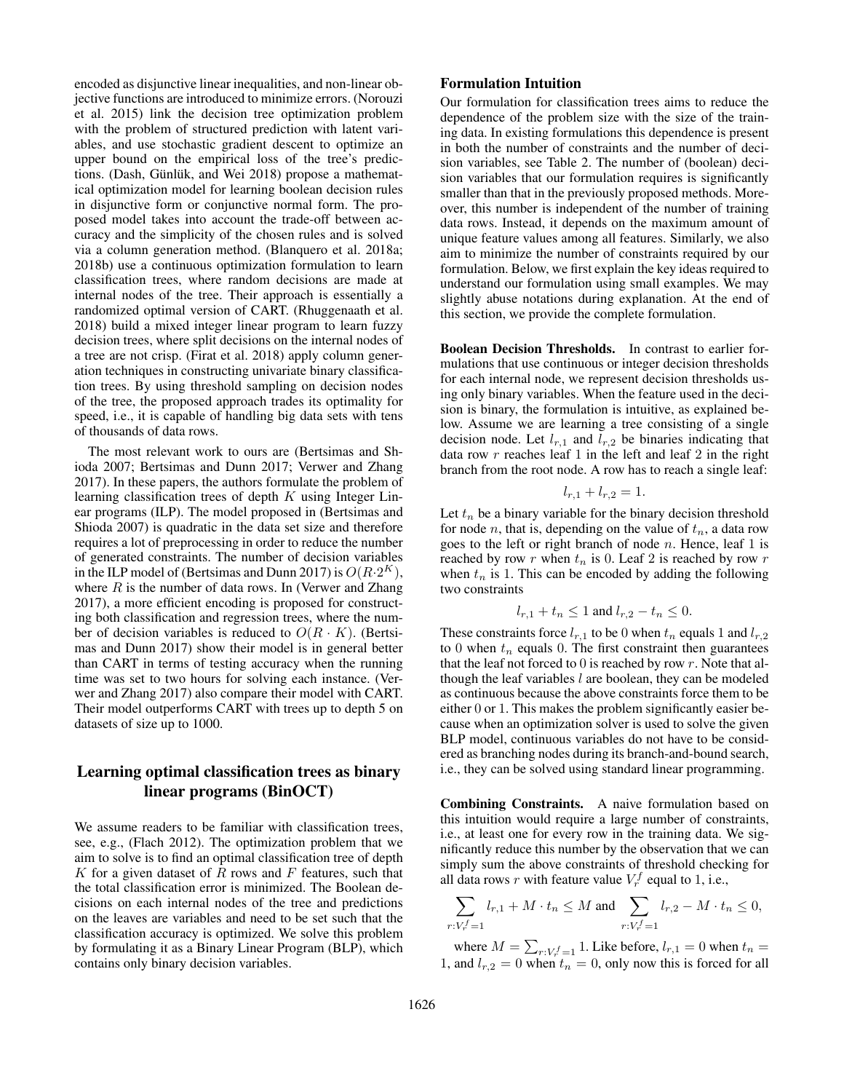encoded as disjunctive linear inequalities, and non-linear objective functions are introduced to minimize errors. (Norouzi et al. 2015) link the decision tree optimization problem with the problem of structured prediction with latent variables, and use stochastic gradient descent to optimize an upper bound on the empirical loss of the tree's predictions. (Dash, Günlük, and Wei 2018) propose a mathematical optimization model for learning boolean decision rules in disjunctive form or conjunctive normal form. The proposed model takes into account the trade-off between accuracy and the simplicity of the chosen rules and is solved via a column generation method. (Blanquero et al. 2018a; 2018b) use a continuous optimization formulation to learn classification trees, where random decisions are made at internal nodes of the tree. Their approach is essentially a randomized optimal version of CART. (Rhuggenaath et al. 2018) build a mixed integer linear program to learn fuzzy decision trees, where split decisions on the internal nodes of a tree are not crisp. (Firat et al. 2018) apply column generation techniques in constructing univariate binary classification trees. By using threshold sampling on decision nodes of the tree, the proposed approach trades its optimality for speed, i.e., it is capable of handling big data sets with tens of thousands of data rows.

The most relevant work to ours are (Bertsimas and Shioda 2007; Bertsimas and Dunn 2017; Verwer and Zhang 2017). In these papers, the authors formulate the problem of learning classification trees of depth  $K$  using Integer Linear programs (ILP). The model proposed in (Bertsimas and Shioda 2007) is quadratic in the data set size and therefore requires a lot of preprocessing in order to reduce the number of generated constraints. The number of decision variables in the ILP model of (Bertsimas and Dunn 2017) is  $O(R \cdot 2^K)$ , where  $R$  is the number of data rows. In (Verwer and Zhang 2017), a more efficient encoding is proposed for constructing both classification and regression trees, where the number of decision variables is reduced to  $O(R \cdot K)$ . (Bertsimas and Dunn 2017) show their model is in general better than CART in terms of testing accuracy when the running time was set to two hours for solving each instance. (Verwer and Zhang 2017) also compare their model with CART. Their model outperforms CART with trees up to depth 5 on datasets of size up to 1000.

# Learning optimal classification trees as binary linear programs (BinOCT)

We assume readers to be familiar with classification trees, see, e.g., (Flach 2012). The optimization problem that we aim to solve is to find an optimal classification tree of depth  $K$  for a given dataset of  $R$  rows and  $F$  features, such that the total classification error is minimized. The Boolean decisions on each internal nodes of the tree and predictions on the leaves are variables and need to be set such that the classification accuracy is optimized. We solve this problem by formulating it as a Binary Linear Program (BLP), which contains only binary decision variables.

## Formulation Intuition

Our formulation for classification trees aims to reduce the dependence of the problem size with the size of the training data. In existing formulations this dependence is present in both the number of constraints and the number of decision variables, see Table 2. The number of (boolean) decision variables that our formulation requires is significantly smaller than that in the previously proposed methods. Moreover, this number is independent of the number of training data rows. Instead, it depends on the maximum amount of unique feature values among all features. Similarly, we also aim to minimize the number of constraints required by our formulation. Below, we first explain the key ideas required to understand our formulation using small examples. We may slightly abuse notations during explanation. At the end of this section, we provide the complete formulation.

Boolean Decision Thresholds. In contrast to earlier formulations that use continuous or integer decision thresholds for each internal node, we represent decision thresholds using only binary variables. When the feature used in the decision is binary, the formulation is intuitive, as explained below. Assume we are learning a tree consisting of a single decision node. Let  $l_{r,1}$  and  $l_{r,2}$  be binaries indicating that data row  $r$  reaches leaf 1 in the left and leaf 2 in the right branch from the root node. A row has to reach a single leaf:

$$
l_{r,1} + l_{r,2} = 1.
$$

Let  $t_n$  be a binary variable for the binary decision threshold for node *n*, that is, depending on the value of  $t_n$ , a data row goes to the left or right branch of node  $n$ . Hence, leaf 1 is reached by row r when  $t_n$  is 0. Leaf 2 is reached by row r when  $t_n$  is 1. This can be encoded by adding the following two constraints

$$
l_{r,1} + t_n \le 1
$$
 and  $l_{r,2} - t_n \le 0$ .

These constraints force  $l_{r,1}$  to be 0 when  $t_n$  equals 1 and  $l_{r,2}$ to 0 when  $t_n$  equals 0. The first constraint then guarantees that the leaf not forced to  $0$  is reached by row  $r$ . Note that although the leaf variables  $l$  are boolean, they can be modeled as continuous because the above constraints force them to be either 0 or 1. This makes the problem significantly easier because when an optimization solver is used to solve the given BLP model, continuous variables do not have to be considered as branching nodes during its branch-and-bound search, i.e., they can be solved using standard linear programming.

Combining Constraints. A naive formulation based on this intuition would require a large number of constraints, i.e., at least one for every row in the training data. We significantly reduce this number by the observation that we can simply sum the above constraints of threshold checking for all data rows r with feature value  $V_r^f$  equal to 1, i.e.,

$$
\sum_{r: V_r^f = 1} l_{r,1} + M \cdot t_n \le M \text{ and } \sum_{r: V_r^f = 1} l_{r,2} - M \cdot t_n \le 0,
$$

where  $M = \sum_{r: V_r^f = 1} 1$ . Like before,  $l_{r,1} = 0$  when  $t_n =$ 1, and  $l_{r,2} = 0$  when  $t_n = 0$ , only now this is forced for all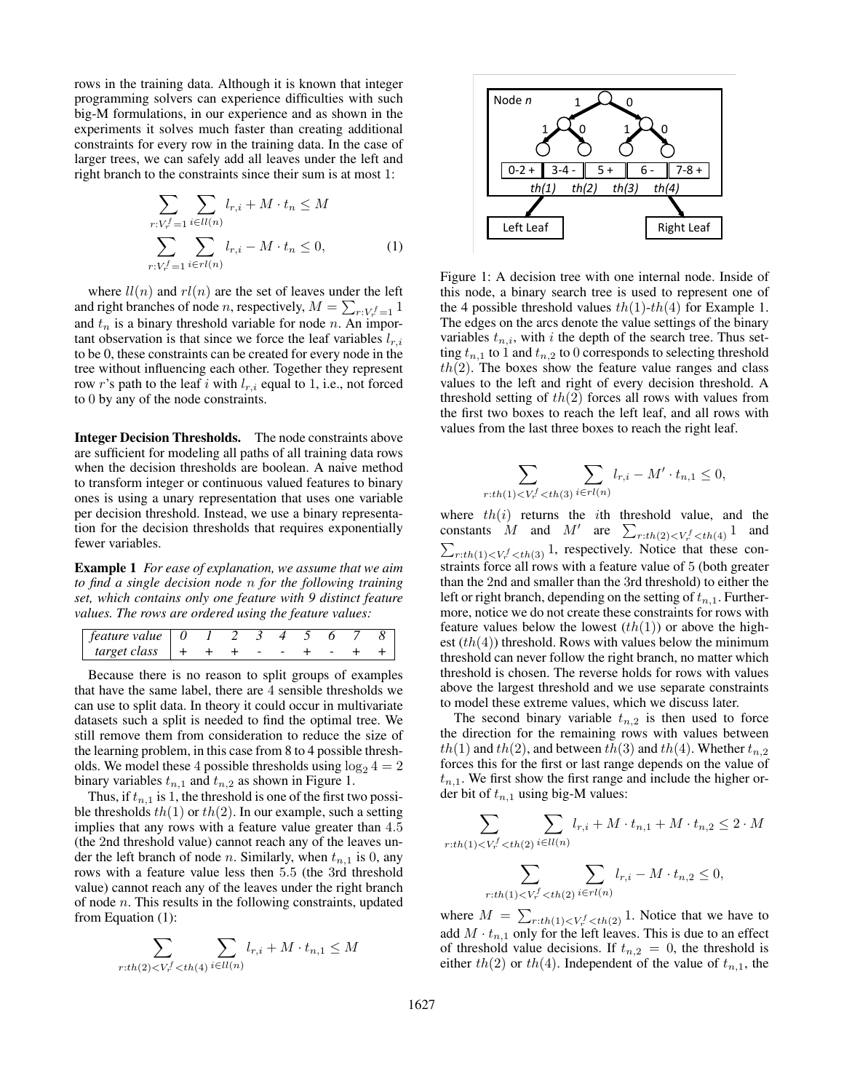rows in the training data. Although it is known that integer programming solvers can experience difficulties with such big-M formulations, in our experience and as shown in the experiments it solves much faster than creating additional constraints for every row in the training data. In the case of larger trees, we can safely add all leaves under the left and right branch to the constraints since their sum is at most 1:

$$
\sum_{r: V_r^f=1} \sum_{i \in ll(n)} l_{r,i} + M \cdot t_n \le M
$$
\n
$$
\sum_{r: V_r^f=1} \sum_{i \in rl(n)} l_{r,i} - M \cdot t_n \le 0,
$$
\n(1)

where  $ll(n)$  and  $rl(n)$  are the set of leaves under the left and right branches of node *n*, respectively,  $M = \sum_{r:V_r^f=1} 1$ and  $t_n$  is a binary threshold variable for node n. An important observation is that since we force the leaf variables  $l_{r,i}$ to be 0, these constraints can be created for every node in the tree without influencing each other. Together they represent row r's path to the leaf i with  $l_{r,i}$  equal to 1, i.e., not forced to 0 by any of the node constraints.

Integer Decision Thresholds. The node constraints above are sufficient for modeling all paths of all training data rows when the decision thresholds are boolean. A naive method to transform integer or continuous valued features to binary ones is using a unary representation that uses one variable per decision threshold. Instead, we use a binary representation for the decision thresholds that requires exponentially fewer variables.

Example 1 *For ease of explanation, we assume that we aim to find a single decision node* n *for the following training set, which contains only one feature with 9 distinct feature values. The rows are ordered using the feature values:*

| feature value |  |  |  |  |  |
|---------------|--|--|--|--|--|
| target class  |  |  |  |  |  |

Because there is no reason to split groups of examples that have the same label, there are 4 sensible thresholds we can use to split data. In theory it could occur in multivariate datasets such a split is needed to find the optimal tree. We still remove them from consideration to reduce the size of the learning problem, in this case from 8 to 4 possible thresholds. We model these 4 possible thresholds using  $\log_2 4 = 2$ binary variables  $t_{n,1}$  and  $t_{n,2}$  as shown in Figure 1.

Thus, if  $t_{n,1}$  is 1, the threshold is one of the first two possible thresholds  $th(1)$  or  $th(2)$ . In our example, such a setting implies that any rows with a feature value greater than 4.5 (the 2nd threshold value) cannot reach any of the leaves under the left branch of node *n*. Similarly, when  $t_{n,1}$  is 0, any rows with a feature value less then 5.5 (the 3rd threshold value) cannot reach any of the leaves under the right branch of node  $n$ . This results in the following constraints, updated from Equation (1):

$$
\sum_{r:th(2)
$$



Figure 1: A decision tree with one internal node. Inside of this node, a binary search tree is used to represent one of the 4 possible threshold values  $th(1)-th(4)$  for Example 1. The edges on the arcs denote the value settings of the binary variables  $t_{n,i}$ , with i the depth of the search tree. Thus setting  $t_{n,1}$  to 1 and  $t_{n,2}$  to 0 corresponds to selecting threshold  $th(2)$ . The boxes show the feature value ranges and class values to the left and right of every decision threshold. A threshold setting of  $th(2)$  forces all rows with values from the first two boxes to reach the left leaf, and all rows with values from the last three boxes to reach the right leaf.

$$
\sum_{r:th(1)
$$

where  $th(i)$  returns the *i*th threshold value, and the constants  $M$  and  $M'$  are  $\sum_{r:th(2)< V_r^f< th(4)} 1$  and  $\sum_{r:th(1)< V_r^f, respectively. Notice that these con$ straints force all rows with a feature value of 5 (both greater than the 2nd and smaller than the 3rd threshold) to either the left or right branch, depending on the setting of  $t_{n,1}$ . Furthermore, notice we do not create these constraints for rows with feature values below the lowest  $(th(1))$  or above the highest  $(th(4))$  threshold. Rows with values below the minimum threshold can never follow the right branch, no matter which threshold is chosen. The reverse holds for rows with values above the largest threshold and we use separate constraints to model these extreme values, which we discuss later.

The second binary variable  $t_{n,2}$  is then used to force the direction for the remaining rows with values between  $th(1)$  and  $th(2)$ , and between  $th(3)$  and  $th(4)$ . Whether  $t_{n,2}$ forces this for the first or last range depends on the value of  $t_{n,1}$ . We first show the first range and include the higher order bit of  $t_{n,1}$  using big-M values:

$$
\sum_{r:th(1)< V_r^f
$$
\sum_{r:th(1)< V_r^f
$$
$$

where  $M = \sum_{r:th(1) \leq V_r^f \leq th(2)} 1$ . Notice that we have to add  $M \cdot t_{n,1}$  only for the left leaves. This is due to an effect of threshold value decisions. If  $t_{n,2} = 0$ , the threshold is either  $th(2)$  or  $th(4)$ . Independent of the value of  $t_{n,1}$ , the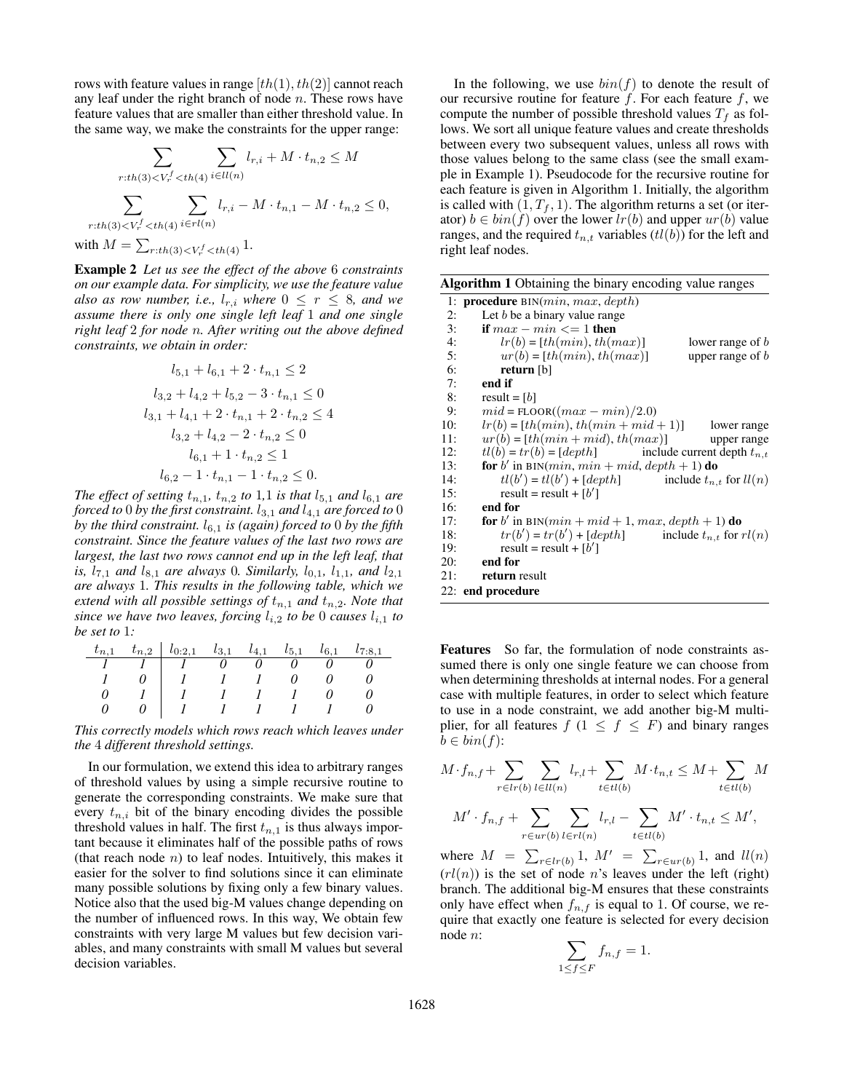rows with feature values in range  $[th(1), th(2)]$  cannot reach any leaf under the right branch of node  $n$ . These rows have feature values that are smaller than either threshold value. In the same way, we make the constraints for the upper range:

$$
\sum_{r:th(3)< V_r^f < th(4)} \sum_{i\in ll(n)} l_{r,i} + M \cdot t_{n,2} \le M
$$
\n
$$
\sum_{r:th(3)< V_r^f < th(4)} \sum_{i\in rl(n)} l_{r,i} - M \cdot t_{n,1} - M \cdot t_{n,2} \le 0,
$$
\nwith  $M = \sum_{r:th(3)< V_r^f < th(4)} 1$ .

Example 2 *Let us see the effect of the above* 6 *constraints on our example data. For simplicity, we use the feature value also as row number, i.e.,*  $l_{r,i}$  *where*  $0 \leq r \leq 8$ *, and we assume there is only one single left leaf* 1 *and one single right leaf* 2 *for node* n*. After writing out the above defined constraints, we obtain in order:*

$$
l_{5,1} + l_{6,1} + 2 \cdot t_{n,1} \le 2
$$
  
\n
$$
l_{3,2} + l_{4,2} + l_{5,2} - 3 \cdot t_{n,1} \le 0
$$
  
\n
$$
l_{3,1} + l_{4,1} + 2 \cdot t_{n,1} + 2 \cdot t_{n,2} \le 4
$$
  
\n
$$
l_{3,2} + l_{4,2} - 2 \cdot t_{n,2} \le 0
$$
  
\n
$$
l_{6,1} + 1 \cdot t_{n,2} \le 1
$$
  
\n
$$
l_{6,2} - 1 \cdot t_{n,1} - 1 \cdot t_{n,2} \le 0.
$$

*The effect of setting*  $t_{n,1}$ ,  $t_{n,2}$  *to* 1,1 *is that*  $l_{5,1}$  *and*  $l_{6,1}$  *are forced to* 0 *by the first constraint.*  $l_{3,1}$  *and*  $l_{4,1}$  *are forced to* 0 *by the third constraint.*  $l_{6,1}$  *is (again) forced to* 0 *by the fifth constraint. Since the feature values of the last two rows are largest, the last two rows cannot end up in the left leaf, that is,*  $l_{7,1}$  *and*  $l_{8,1}$  *are always* 0*. Similarly,*  $l_{0,1}$ *,*  $l_{1,1}$ *, and*  $l_{2,1}$ *are always* 1*. This results in the following table, which we extend with all possible settings of*  $t_{n,1}$  *and*  $t_{n,2}$ *. Note that since we have two leaves, forcing*  $l_{i,2}$  *to be* 0 *causes*  $l_{i,1}$  *to be set to* 1*:*

|  | $t_{n,1}$ $t_{n,2}$   $l_{0:2,1}$ $l_{3,1}$ $l_{4,1}$ $l_{5,1}$ $l_{6,1}$ |  |  | $l_{7.81}$ |
|--|---------------------------------------------------------------------------|--|--|------------|
|  |                                                                           |  |  |            |
|  |                                                                           |  |  |            |
|  |                                                                           |  |  |            |
|  |                                                                           |  |  |            |

*This correctly models which rows reach which leaves under the* 4 *different threshold settings.*

In our formulation, we extend this idea to arbitrary ranges of threshold values by using a simple recursive routine to generate the corresponding constraints. We make sure that every  $t_{n,i}$  bit of the binary encoding divides the possible threshold values in half. The first  $t_{n,1}$  is thus always important because it eliminates half of the possible paths of rows (that reach node  $n$ ) to leaf nodes. Intuitively, this makes it easier for the solver to find solutions since it can eliminate many possible solutions by fixing only a few binary values. Notice also that the used big-M values change depending on the number of influenced rows. In this way, We obtain few constraints with very large M values but few decision variables, and many constraints with small M values but several decision variables.

In the following, we use  $bin(f)$  to denote the result of our recursive routine for feature  $f$ . For each feature  $f$ , we compute the number of possible threshold values  $T_f$  as follows. We sort all unique feature values and create thresholds between every two subsequent values, unless all rows with those values belong to the same class (see the small example in Example 1). Pseudocode for the recursive routine for each feature is given in Algorithm 1. Initially, the algorithm is called with  $(1, T_f, 1)$ . The algorithm returns a set (or iterator)  $b \in bin(f)$  over the lower  $lr(b)$  and upper  $ur(b)$  value ranges, and the required  $t_{n,t}$  variables ( $tl(b)$ ) for the left and right leaf nodes.

|     | Algorithm 1 Obtaining the binary encoding value ranges              |  |  |  |  |  |  |  |  |  |
|-----|---------------------------------------------------------------------|--|--|--|--|--|--|--|--|--|
|     | 1: <b>procedure</b> $BIN(min, max, depth)$                          |  |  |  |  |  |  |  |  |  |
| 2:  | Let $b$ be a binary value range                                     |  |  |  |  |  |  |  |  |  |
| 3:  | if $max - min \leq 1$ then                                          |  |  |  |  |  |  |  |  |  |
| 4:  | $lr(b) = [th(min), th(max)]$<br>lower range of $b$                  |  |  |  |  |  |  |  |  |  |
| 5:  | $ur(b) = [th(min), th(max)]$<br>upper range of $b$                  |  |  |  |  |  |  |  |  |  |
| 6:  | return [b]                                                          |  |  |  |  |  |  |  |  |  |
| 7:  | end if                                                              |  |  |  |  |  |  |  |  |  |
| 8:  | result = $[b]$                                                      |  |  |  |  |  |  |  |  |  |
| 9:  | $mid =$ FLOOR( $(max - min)/2.0$ )                                  |  |  |  |  |  |  |  |  |  |
| 10: | $lr(b) = [th(min), th(min + mid + 1)]$ lower range                  |  |  |  |  |  |  |  |  |  |
| 11: | $ur(b) = [th(min + mid), th(max)]$<br>upper range                   |  |  |  |  |  |  |  |  |  |
| 12: | $tl(b) = tr(b) = [depth]$ include current depth $t_{n,t}$           |  |  |  |  |  |  |  |  |  |
| 13: | <b>for</b> b' in BIN( $min$ , $min + mid$ , $depth + 1$ ) <b>do</b> |  |  |  |  |  |  |  |  |  |
| 14: | $tl(b') = tl(b') + [depth]$ include $t_{n,t}$ for $ll(n)$           |  |  |  |  |  |  |  |  |  |
| 15: | result = result + $[b']$                                            |  |  |  |  |  |  |  |  |  |
| 16: | end for                                                             |  |  |  |  |  |  |  |  |  |
| 17: | for b' in BIN( $min + mid + 1$ , $max$ , $depth + 1$ ) do           |  |  |  |  |  |  |  |  |  |
| 18: | $tr(b') = tr(b') + [depth]$ include $t_{n,t}$ for $rl(n)$           |  |  |  |  |  |  |  |  |  |
| 19: | result = result + $[b']$                                            |  |  |  |  |  |  |  |  |  |
| 20: | end for                                                             |  |  |  |  |  |  |  |  |  |
| 21: | return result                                                       |  |  |  |  |  |  |  |  |  |
|     | 22: end procedure                                                   |  |  |  |  |  |  |  |  |  |

Features So far, the formulation of node constraints assumed there is only one single feature we can choose from when determining thresholds at internal nodes. For a general case with multiple features, in order to select which feature to use in a node constraint, we add another big-M multiplier, for all features  $f$  ( $1 \leq f \leq F$ ) and binary ranges  $b \in bin(f)$ :

$$
M \cdot f_{n,f} + \sum_{r \in lr(b)} \sum_{l \in ll(n)} l_{r,l} + \sum_{t \in tl(b)} M \cdot t_{n,t} \le M + \sum_{t \in tl(b)} M
$$

$$
M' \cdot f_{n,f} + \sum_{r \in ur(b)} \sum_{l \in rl(n)} l_{r,l} - \sum_{t \in tl(b)} M' \cdot t_{n,t} \le M',
$$

where  $M = \sum_{r \in lr(b)} 1$ ,  $M' = \sum_{r \in ur(b)} 1$ , and  $ll(n)$  $\left(\frac{rl(n)}{l}\right)$  is the set of node *n*'s leaves under the left (right) branch. The additional big-M ensures that these constraints only have effect when  $f_{n,f}$  is equal to 1. Of course, we require that exactly one feature is selected for every decision node n:

$$
\sum_{1 \le f \le F} f_{n,f} = 1.
$$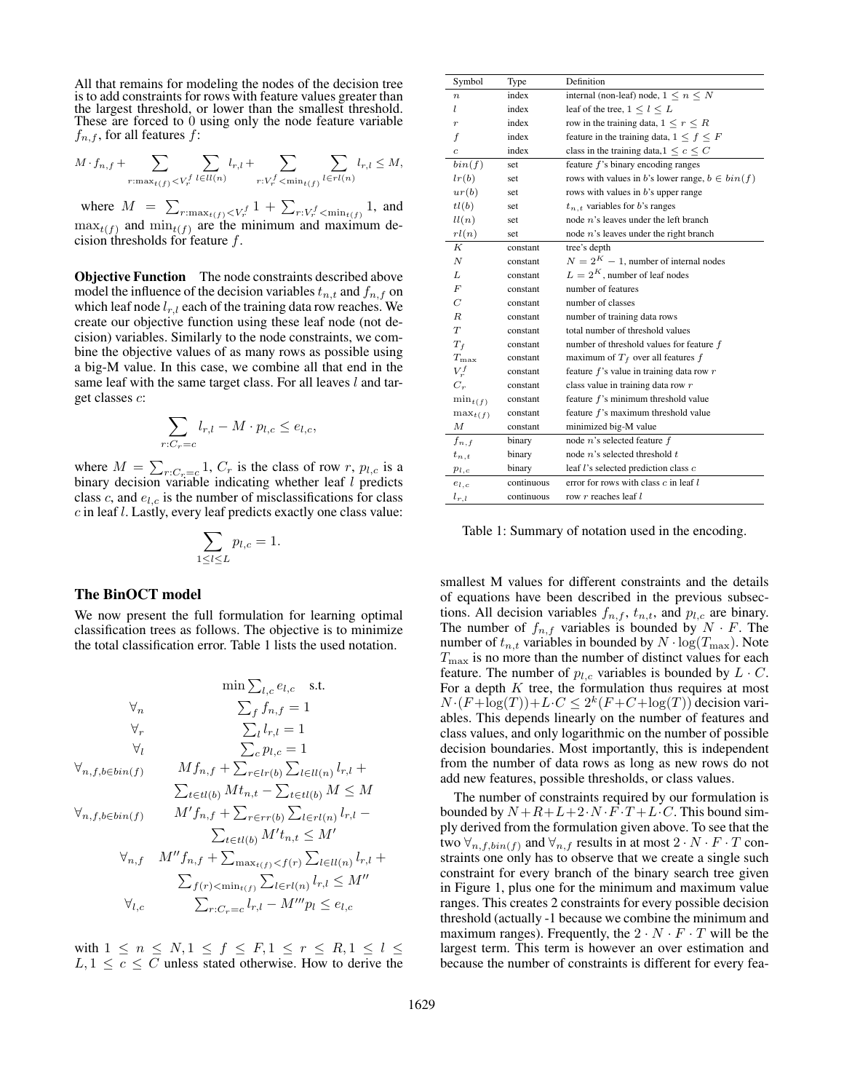All that remains for modeling the nodes of the decision tree is to add constraints for rows with feature values greater than the largest threshold, or lower than the smallest threshold. These are forced to 0 using only the node feature variable  $f_{n,f}$ , for all features f:

$$
M \cdot f_{n,f} + \sum\limits_{r:\max_{t(f) < V_r^f}}\sum\limits_{l \in ll(n)}l_{r,l} + \sum\limits_{r:V_r^f < \min_{t(f)}}\sum\limits_{l \in rl(n)}l_{r,l} \leq M,
$$

where  $M = \sum_{r: \max_{t(f) \leq V_r^f}} 1 + \sum_{r: V_r^f \leq \min_{t(f)}} 1$ , and  $\max_{t(f)}$  and  $\min_{t(f)}$  are the minimum and maximum decision thresholds for feature  $f$ .

Objective Function The node constraints described above model the influence of the decision variables  $t_{n,t}$  and  $f_{n,f}$  on which leaf node  $l_{r,l}$  each of the training data row reaches. We create our objective function using these leaf node (not decision) variables. Similarly to the node constraints, we combine the objective values of as many rows as possible using a big-M value. In this case, we combine all that end in the same leaf with the same target class. For all leaves l and target classes c:

$$
\sum_{r:C_r=c} l_{r,l} - M \cdot p_{l,c} \le e_{l,c},
$$

where  $M = \sum_{r:C_r=c} 1$ ,  $C_r$  is the class of row r,  $p_{l,c}$  is a binary decision variable indicating whether leaf  $l$  predicts class c, and  $e_{l,c}$  is the number of misclassifications for class c in leaf l. Lastly, every leaf predicts exactly one class value:

$$
\sum_{1 \leq l \leq L} p_{l,c} = 1.
$$

# The BinOCT model

We now present the full formulation for learning optimal classification trees as follows. The objective is to minimize the total classification error. Table 1 lists the used notation.

$$
\min \sum_{l,c} e_{l,c} \quad \text{s.t.}
$$
\n
$$
\forall n \quad \sum_{f} f_{n,f} = 1
$$
\n
$$
\forall r \quad \sum_{l} l_{r,l} = 1
$$
\n
$$
\forall l \quad \sum_{c} p_{l,c} = 1
$$
\n
$$
\forall n, f, b \in bin(f) \quad Mf_{n,f} + \sum_{r \in lr(b)} \sum_{l \in ll(n)} l_{r,l} + \sum_{t \in tl(b)} Mf_{n,f} - \sum_{t \in tl(b)} Mf_{n,f} - \sum_{t \in tl(b)} Mf_{n,f} + \sum_{r \in rr(b)} \sum_{l \in rl(n)} l_{r,l} - \sum_{t \in tl(b)} Mf_{n,f} + \sum_{\max_{t(f)} < f(r)} \sum_{l \in ll(n)} l_{r,l} - \sum_{r, f} M''f_{n,f} + \sum_{\max_{t(f)} < f(r)} \sum_{l \in ll(n)} l_{r,l} \le M''
$$
\n
$$
\forall l, c \quad \sum_{r: C_r = c} l_{r,l} - M'''p_l \le e_{l,c}
$$

with  $1 \le n \le N, 1 \le f \le F, 1 \le r \le R, 1 \le l \le$  $L, 1 \leq c \leq C$  unless stated otherwise. How to derive the

| Symbol           | Type       | Definition                                          |
|------------------|------------|-----------------------------------------------------|
| $\boldsymbol{n}$ | index      | internal (non-leaf) node, $1 \leq n \leq N$         |
| l                | index      | leaf of the tree, $1 \leq l \leq L$                 |
| $\overline{r}$   | index      | row in the training data, $1 \leq r \leq R$         |
| f                | index      | feature in the training data, $1 \leq f \leq F$     |
| $\overline{c}$   | index      | class in the training data, $1 \leq c \leq C$       |
| bin(f)           | set        | feature $f$ 's binary encoding ranges               |
| l(r(b))          | set        | rows with values in b's lower range, $b \in bin(f)$ |
| ur(b)            | set        | rows with values in $b$ 's upper range              |
| tl(b)            | set        | $t_{n,t}$ variables for b's ranges                  |
| ll(n)            | set        | node $n$ 's leaves under the left branch            |
| rl(n)            | set        | node $n$ 's leaves under the right branch           |
| K                | constant   | tree's depth                                        |
| N                | constant   | $N = 2K - 1$ , number of internal nodes             |
| L                | constant   | $L = 2^K$ , number of leaf nodes                    |
| F                | constant   | number of features                                  |
| $\overline{C}$   | constant   | number of classes                                   |
| $\boldsymbol{R}$ | constant   | number of training data rows                        |
| T                | constant   | total number of threshold values                    |
| $T_f$            | constant   | number of threshold values for feature $f$          |
| $T_{\rm max}$    | constant   | maximum of $T_f$ over all features f                |
| $V_r^f$          | constant   | feature $f$ 's value in training data row $r$       |
| $C_r$            | constant   | class value in training data row r                  |
| $\min_{t(f)}$    | constant   | feature $f$ 's minimum threshold value              |
| $\max_{t(f)}$    | constant   | feature $f$ 's maximum threshold value              |
| М                | constant   | minimized big-M value                               |
| $f_{n,f}$        | binary     | node $n$ 's selected feature $f$                    |
| $t_{n,t}$        | binary     | node $n$ 's selected threshold $t$                  |
| $p_{l,c}$        | binary     | leaf l's selected prediction class c                |
| $e_{l,c}$        | continuous | error for rows with class $c$ in leaf $l$           |
| $l_{r,l}$        | continuous | row r reaches leaf l                                |

Table 1: Summary of notation used in the encoding.

smallest M values for different constraints and the details of equations have been described in the previous subsections. All decision variables  $f_{n,f}$ ,  $t_{n,t}$ , and  $p_{l,c}$  are binary. The number of  $f_{n,f}$  variables is bounded by  $N \cdot F$ . The number of  $t_{n,t}$  variables in bounded by  $N \cdot \log(T_{\text{max}})$ . Note  $T_{\text{max}}$  is no more than the number of distinct values for each feature. The number of  $p_{l,c}$  variables is bounded by  $L \cdot C$ . For a depth  $K$  tree, the formulation thus requires at most  $N \cdot (F + \log(T)) + L \cdot C \leq 2^{k}(F + C + \log(T))$  decision variables. This depends linearly on the number of features and class values, and only logarithmic on the number of possible decision boundaries. Most importantly, this is independent from the number of data rows as long as new rows do not add new features, possible thresholds, or class values.

The number of constraints required by our formulation is bounded by  $N + R + L + 2 \cdot N \cdot F \cdot T + L \cdot C$ . This bound simply derived from the formulation given above. To see that the two  $\forall_{n,f,bin(f)}$  and  $\forall_{n,f}$  results in at most  $2 \cdot N \cdot F \cdot T$  constraints one only has to observe that we create a single such constraint for every branch of the binary search tree given in Figure 1, plus one for the minimum and maximum value ranges. This creates 2 constraints for every possible decision threshold (actually -1 because we combine the minimum and maximum ranges). Frequently, the  $2 \cdot N \cdot F \cdot T$  will be the largest term. This term is however an over estimation and because the number of constraints is different for every fea-

 $\, +$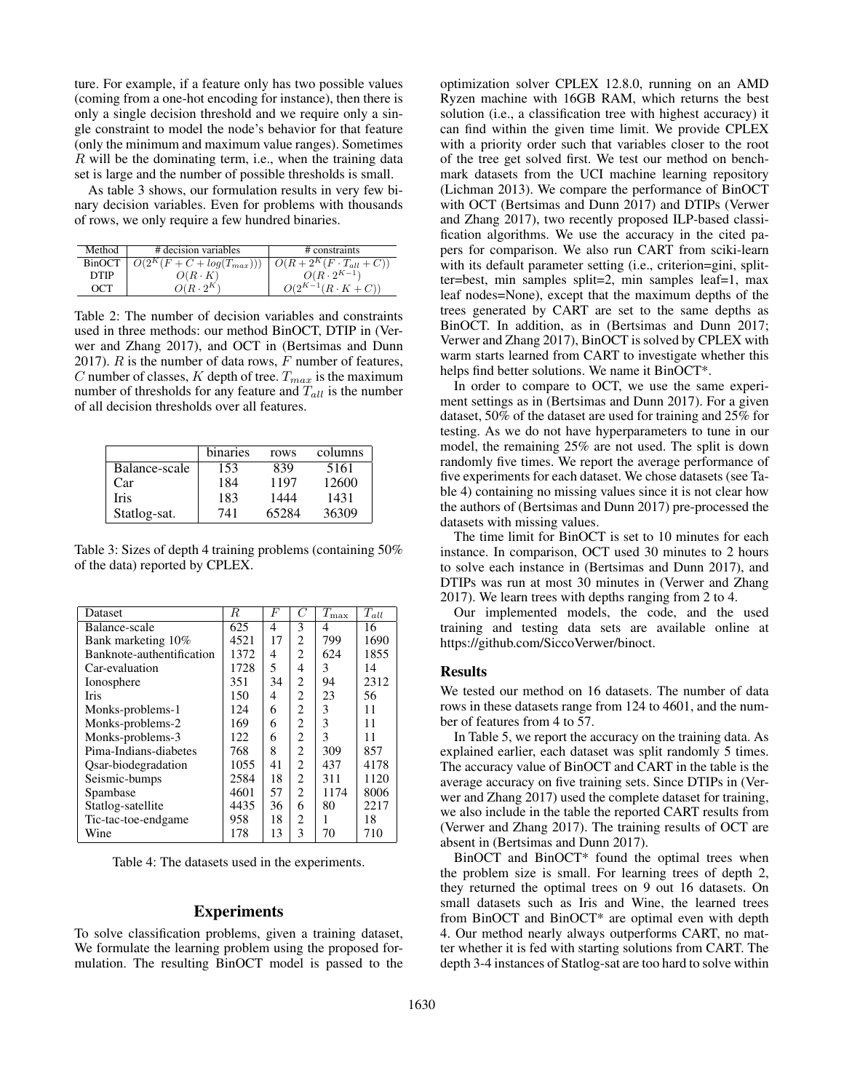ture. For example, if a feature only has two possible values (coming from a one-hot encoding for instance), then there is only a single decision threshold and we require only a single constraint to model the node's behavior for that feature (only the minimum and maximum value ranges). Sometimes  $R$  will be the dominating term, i.e., when the training data set is large and the number of possible thresholds is small.

As table 3 shows, our formulation results in very few binary decision variables. Even for problems with thousands of rows, we only require a few hundred binaries.

| Method      | # decision variables                                               | # constraints               |
|-------------|--------------------------------------------------------------------|-----------------------------|
| BinOCT      | $\boxed{O(2^K(F+C+log(T_{max}))) \mid O(R+2^K(F\cdot T_{all}+C))}$ |                             |
| <b>DTIP</b> | $O(R \cdot K)$                                                     | $O(R \cdot 2^{K-1})$        |
| OCT         | $O(R \cdot 2^K)$                                                   | $O(2^{K-1}(R \cdot K + C))$ |

Table 2: The number of decision variables and constraints used in three methods: our method BinOCT, DTIP in (Verwer and Zhang 2017), and OCT in (Bertsimas and Dunn 2017).  $R$  is the number of data rows,  $F$  number of features, C number of classes, K depth of tree.  $T_{max}$  is the maximum number of thresholds for any feature and  $T_{all}$  is the number of all decision thresholds over all features.

|               | binaries | rows  | columns |
|---------------|----------|-------|---------|
| Balance-scale | 153      | 839   | 5161    |
| Car           | 184      | 1197  | 12600   |
| Iris          | 183      | 1444  | 1431    |
| Statlog-sat.  | 741      | 65284 | 36309   |

Table 3: Sizes of depth 4 training problems (containing 50% of the data) reported by CPLEX.

| Dataset                   | R    | F  | C              | $\overline{T}_{\max}$ | $T_{all}$ |
|---------------------------|------|----|----------------|-----------------------|-----------|
| Balance-scale             | 625  | 4  | 3              | 4                     | 16        |
| Bank marketing 10%        | 4521 | 17 | 2              | 799                   | 1690      |
| Banknote-authentification | 1372 | 4  | $\overline{c}$ | 624                   | 1855      |
| Car-evaluation            | 1728 | 5  | 4              | 3                     | 14        |
| Ionosphere                | 351  | 34 | 2              | 94                    | 2312      |
| Iris                      | 150  | 4  | $\overline{c}$ | 23                    | 56        |
| Monks-problems-1          | 124  | 6  | 2              | 3                     | 11        |
| Monks-problems-2          | 169  | 6  | $\overline{c}$ | 3                     | 11        |
| Monks-problems-3          | 122  | 6  | $\overline{c}$ | 3                     | 11        |
| Pima-Indians-diabetes     | 768  | 8  | 2              | 309                   | 857       |
| Osar-biodegradation       | 1055 | 41 | $\overline{2}$ | 437                   | 4178      |
| Seismic-bumps             | 2584 | 18 | $\overline{2}$ | 311                   | 1120      |
| Spambase                  | 4601 | 57 | 2              | 1174                  | 8006      |
| Statlog-satellite         | 4435 | 36 | 6              | 80                    | 2217      |
| Tic-tac-toe-endgame       | 958  | 18 | $\overline{c}$ |                       | 18        |
| Wine                      | 178  | 13 | 3              | 70                    | 710       |

Table 4: The datasets used in the experiments.

### Experiments

To solve classification problems, given a training dataset, We formulate the learning problem using the proposed formulation. The resulting BinOCT model is passed to the

optimization solver CPLEX 12.8.0, running on an AMD Ryzen machine with 16GB RAM, which returns the best solution (i.e., a classification tree with highest accuracy) it can find within the given time limit. We provide CPLEX with a priority order such that variables closer to the root of the tree get solved first. We test our method on benchmark datasets from the UCI machine learning repository (Lichman 2013). We compare the performance of BinOCT with OCT (Bertsimas and Dunn 2017) and DTIPs (Verwer and Zhang 2017), two recently proposed ILP-based classification algorithms. We use the accuracy in the cited papers for comparison. We also run CART from sciki-learn with its default parameter setting (i.e., criterion=gini, splitter=best, min samples split=2, min samples leaf=1, max leaf nodes=None), except that the maximum depths of the trees generated by CART are set to the same depths as BinOCT. In addition, as in (Bertsimas and Dunn 2017; Verwer and Zhang 2017), BinOCT is solved by CPLEX with warm starts learned from CART to investigate whether this helps find better solutions. We name it BinOCT\*.

In order to compare to OCT, we use the same experiment settings as in (Bertsimas and Dunn 2017). For a given dataset, 50% of the dataset are used for training and 25% for testing. As we do not have hyperparameters to tune in our model, the remaining 25% are not used. The split is down randomly five times. We report the average performance of five experiments for each dataset. We chose datasets (see Table 4) containing no missing values since it is not clear how the authors of (Bertsimas and Dunn 2017) pre-processed the datasets with missing values.

The time limit for BinOCT is set to 10 minutes for each instance. In comparison, OCT used 30 minutes to 2 hours to solve each instance in (Bertsimas and Dunn 2017), and DTIPs was run at most 30 minutes in (Verwer and Zhang 2017). We learn trees with depths ranging from 2 to 4.

Our implemented models, the code, and the used training and testing data sets are available online at https://github.com/SiccoVerwer/binoct.

#### Results

We tested our method on 16 datasets. The number of data rows in these datasets range from 124 to 4601, and the number of features from 4 to 57.

In Table 5, we report the accuracy on the training data. As explained earlier, each dataset was split randomly 5 times. The accuracy value of BinOCT and CART in the table is the average accuracy on five training sets. Since DTIPs in (Verwer and Zhang 2017) used the complete dataset for training, we also include in the table the reported CART results from (Verwer and Zhang 2017). The training results of OCT are absent in (Bertsimas and Dunn 2017).

BinOCT and BinOCT\* found the optimal trees when the problem size is small. For learning trees of depth 2, they returned the optimal trees on 9 out 16 datasets. On small datasets such as Iris and Wine, the learned trees from BinOCT and BinOCT\* are optimal even with depth 4. Our method nearly always outperforms CART, no matter whether it is fed with starting solutions from CART. The depth 3-4 instances of Statlog-sat are too hard to solve within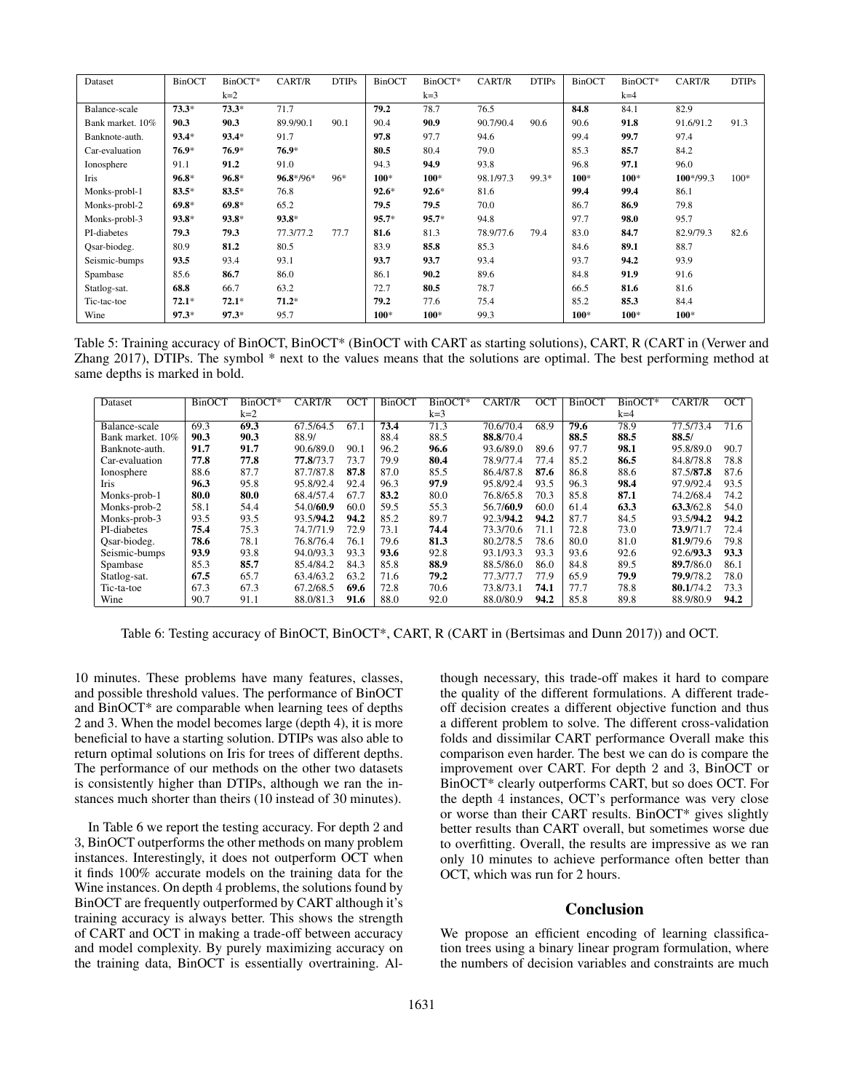| Dataset          | <b>BinOCT</b> | BinOCT* | CART/R      | <b>DTIPs</b> | <b>BinOCT</b> | BinOCT* | CART/R    | <b>DTIPs</b> | <b>BinOCT</b> | BinOCT* | CART/R      | <b>DTIPs</b> |
|------------------|---------------|---------|-------------|--------------|---------------|---------|-----------|--------------|---------------|---------|-------------|--------------|
|                  |               | $k=2$   |             |              |               | $k=3$   |           |              |               | $k=4$   |             |              |
| Balance-scale    | $73.3*$       | $73.3*$ | 71.7        |              | 79.2          | 78.7    | 76.5      |              | 84.8          | 84.1    | 82.9        |              |
| Bank market. 10% | 90.3          | 90.3    | 89.9/90.1   | 90.1         | 90.4          | 90.9    | 90.7/90.4 | 90.6         | 90.6          | 91.8    | 91.6/91.2   | 91.3         |
| Banknote-auth.   | $93.4*$       | $93.4*$ | 91.7        |              | 97.8          | 97.7    | 94.6      |              | 99.4          | 99.7    | 97.4        |              |
| Car-evaluation   | $76.9*$       | $76.9*$ | $76.9*$     |              | 80.5          | 80.4    | 79.0      |              | 85.3          | 85.7    | 84.2        |              |
| Ionosphere       | 91.1          | 91.2    | 91.0        |              | 94.3          | 94.9    | 93.8      |              | 96.8          | 97.1    | 96.0        |              |
| Iris             | $96.8*$       | $96.8*$ | $96.8*/96*$ | $96*$        | $100*$        | 100*    | 98.1/97.3 | 99.3*        | $100*$        | $100*$  | $100*/99.3$ | $100*$       |
| Monks-probl-1    | $83.5*$       | $83.5*$ | 76.8        |              | $92.6*$       | $92.6*$ | 81.6      |              | 99.4          | 99.4    | 86.1        |              |
| Monks-probl-2    | $69.8*$       | $69.8*$ | 65.2        |              | 79.5          | 79.5    | 70.0      |              | 86.7          | 86.9    | 79.8        |              |
| Monks-probl-3    | $93.8*$       | $93.8*$ | $93.8*$     |              | $95.7*$       | $95.7*$ | 94.8      |              | 97.7          | 98.0    | 95.7        |              |
| PI-diabetes      | 79.3          | 79.3    | 77.3/77.2   | 77.7         | 81.6          | 81.3    | 78.9/77.6 | 79.4         | 83.0          | 84.7    | 82.9/79.3   | 82.6         |
| Osar-biodeg.     | 80.9          | 81.2    | 80.5        |              | 83.9          | 85.8    | 85.3      |              | 84.6          | 89.1    | 88.7        |              |
| Seismic-bumps    | 93.5          | 93.4    | 93.1        |              | 93.7          | 93.7    | 93.4      |              | 93.7          | 94.2    | 93.9        |              |
| Spambase         | 85.6          | 86.7    | 86.0        |              | 86.1          | 90.2    | 89.6      |              | 84.8          | 91.9    | 91.6        |              |
| Statlog-sat.     | 68.8          | 66.7    | 63.2        |              | 72.7          | 80.5    | 78.7      |              | 66.5          | 81.6    | 81.6        |              |
| Tic-tac-toe      | $72.1*$       | $72.1*$ | $71.2*$     |              | 79.2          | 77.6    | 75.4      |              | 85.2          | 85.3    | 84.4        |              |
| Wine             | $97.3*$       | $97.3*$ | 95.7        |              | 100*          | 100*    | 99.3      |              | $100*$        | 100*    | $100*$      |              |

Table 5: Training accuracy of BinOCT, BinOCT\* (BinOCT with CART as starting solutions), CART, R (CART in (Verwer and Zhang 2017), DTIPs. The symbol \* next to the values means that the solutions are optimal. The best performing method at same depths is marked in bold.

| Dataset          | <b>BinOCT</b> | BinOCT* | CART/R    | ОСТ  | BinOC <sub>1</sub> | BinOCT* | CART/R    | OCT  | <b>BinOCT</b> | BinOCT* | CART/R    | OCT  |
|------------------|---------------|---------|-----------|------|--------------------|---------|-----------|------|---------------|---------|-----------|------|
|                  |               | $k=2$   |           |      |                    | $k=3$   |           |      |               | $k=4$   |           |      |
| Balance-scale    | 69.3          | 69.3    | 67.5/64.5 | 67.1 | 73.4               | 71.3    | 70.6/70.4 | 68.9 | 79.6          | 78.9    | 77.5/73.4 | 71.6 |
| Bank market. 10% | 90.3          | 90.3    | 88.9/     |      | 88.4               | 88.5    | 88.8/70.4 |      | 88.5          | 88.5    | 88.5/     |      |
| Banknote-auth.   | 91.7          | 91.7    | 90.6/89.0 | 90.1 | 96.2               | 96.6    | 93.6/89.0 | 89.6 | 97.7          | 98.1    | 95.8/89.0 | 90.7 |
| Car-evaluation   | 77.8          | 77.8    | 77.8/73.7 | 73.7 | 79.9               | 80.4    | 78.9/77.4 | 77.4 | 85.2          | 86.5    | 84.8/78.8 | 78.8 |
| Ionosphere       | 88.6          | 87.7    | 87.7/87.8 | 87.8 | 87.0               | 85.5    | 86.4/87.8 | 87.6 | 86.8          | 88.6    | 87.5/87.8 | 87.6 |
| Iris             | 96.3          | 95.8    | 95.8/92.4 | 92.4 | 96.3               | 97.9    | 95.8/92.4 | 93.5 | 96.3          | 98.4    | 97.9/92.4 | 93.5 |
| Monks-prob-1     | 80.0          | 80.0    | 68.4/57.4 | 67.7 | 83.2               | 80.0    | 76.8/65.8 | 70.3 | 85.8          | 87.1    | 74.2/68.4 | 74.2 |
| Monks-prob-2     | 58.1          | 54.4    | 54.0/60.9 | 60.0 | 59.5               | 55.3    | 56.7/60.9 | 60.0 | 61.4          | 63.3    | 63.3/62.8 | 54.0 |
| Monks-prob-3     | 93.5          | 93.5    | 93.5/94.2 | 94.2 | 85.2               | 89.7    | 92.3/94.2 | 94.2 | 87.7          | 84.5    | 93.5/94.2 | 94.2 |
| PI-diabetes      | 75.4          | 75.3    | 74.7/71.9 | 72.9 | 73.1               | 74.4    | 73.3/70.6 | 71.1 | 72.8          | 73.0    | 73.9/71.7 | 72.4 |
| Osar-biodeg.     | 78.6          | 78.1    | 76.8/76.4 | 76.1 | 79.6               | 81.3    | 80.2/78.5 | 78.6 | 80.0          | 81.0    | 81.9/79.6 | 79.8 |
| Seismic-bumps    | 93.9          | 93.8    | 94.0/93.3 | 93.3 | 93.6               | 92.8    | 93.1/93.3 | 93.3 | 93.6          | 92.6    | 92.6/93.3 | 93.3 |
| Spambase         | 85.3          | 85.7    | 85.4/84.2 | 84.3 | 85.8               | 88.9    | 88.5/86.0 | 86.0 | 84.8          | 89.5    | 89.7/86.0 | 86.1 |
| Statlog-sat.     | 67.5          | 65.7    | 63.4/63.2 | 63.2 | 71.6               | 79.2    | 77.3/77.7 | 77.9 | 65.9          | 79.9    | 79.9/78.2 | 78.0 |
| Tic-ta-toe       | 67.3          | 67.3    | 67.2/68.5 | 69.6 | 72.8               | 70.6    | 73.8/73.1 | 74.1 | 77.7          | 78.8    | 80.1/74.2 | 73.3 |
| Wine             | 90.7          | 91.1    | 88.0/81.3 | 91.6 | 88.0               | 92.0    | 88.0/80.9 | 94.2 | 85.8          | 89.8    | 88.9/80.9 | 94.2 |

Table 6: Testing accuracy of BinOCT, BinOCT\*, CART, R (CART in (Bertsimas and Dunn 2017)) and OCT.

10 minutes. These problems have many features, classes, and possible threshold values. The performance of BinOCT and BinOCT\* are comparable when learning tees of depths 2 and 3. When the model becomes large (depth 4), it is more beneficial to have a starting solution. DTIPs was also able to return optimal solutions on Iris for trees of different depths. The performance of our methods on the other two datasets is consistently higher than DTIPs, although we ran the instances much shorter than theirs (10 instead of 30 minutes).

In Table 6 we report the testing accuracy. For depth 2 and 3, BinOCT outperforms the other methods on many problem instances. Interestingly, it does not outperform OCT when it finds 100% accurate models on the training data for the Wine instances. On depth 4 problems, the solutions found by BinOCT are frequently outperformed by CART although it's training accuracy is always better. This shows the strength of CART and OCT in making a trade-off between accuracy and model complexity. By purely maximizing accuracy on the training data, BinOCT is essentially overtraining. Al-

though necessary, this trade-off makes it hard to compare the quality of the different formulations. A different tradeoff decision creates a different objective function and thus a different problem to solve. The different cross-validation folds and dissimilar CART performance Overall make this comparison even harder. The best we can do is compare the improvement over CART. For depth 2 and 3, BinOCT or BinOCT\* clearly outperforms CART, but so does OCT. For the depth 4 instances, OCT's performance was very close or worse than their CART results. BinOCT\* gives slightly better results than CART overall, but sometimes worse due to overfitting. Overall, the results are impressive as we ran only 10 minutes to achieve performance often better than OCT, which was run for 2 hours.

# Conclusion

We propose an efficient encoding of learning classification trees using a binary linear program formulation, where the numbers of decision variables and constraints are much